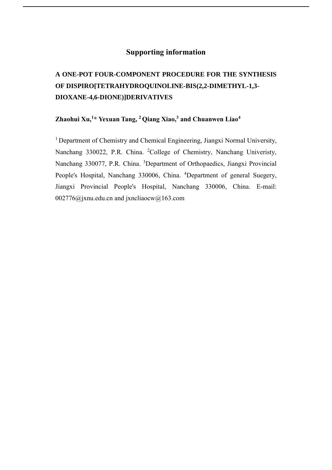# **Supporting information**

# **A ONE-POT FOUR-COMPONENT PROCEDURE FOR THE SYNTHESIS OF DISPIRO[TETRAHYDROQUINOLINE-BIS(2,2-DIMETHYL-1,3- DIOXANE-4,6-DIONE)]DERIVATIVES**

# **Zhaohui Xu,<sup>1</sup>\* Yexuan Tang, <sup>2</sup> Qiang Xiao, <sup>3</sup> and Chuanwen Liao<sup>4</sup>**

<sup>1</sup> Department of Chemistry and Chemical Engineering, Jiangxi Normal University, Nanchang 330022, P.R. China. <sup>2</sup>College of Chemistry, Nanchang Univeristy, Nanchang 330077, P.R. China. <sup>3</sup>Department of Orthopaedics, Jiangxi Provincial People's Hospital, Nanchang 330006, China. <sup>4</sup>Department of general Suegery, Jiangxi Provincial People's Hospital, Nanchang 330006, China. E-mail: [002776@jx](mailto:gotoxzh@163.com)nu.edu.cn and jxncliaocw@163.com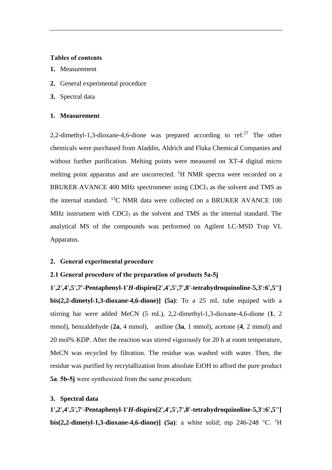#### **Tables of contents**

- **1.** Measurement
- **2.** General experimental procedure
- **3.** Spectral data

#### **1. Measurement**

2,2-dimethyl-1,3-dioxane-4,6-dione was prepared according to ref.<sup>27</sup> The other chemicals were purchased from Aladdin, Aldrich and Fluka Chemical Companies and without further purification. Melting points were measured on XT-4 digital micro melting point apparatus and are uncorrected. <sup>1</sup>H NMR spectra were recorded on a BRUKER AVANCE 400 MHz spectrometer using CDCl<sub>3</sub> as the solvent and TMS as the internal standard. <sup>13</sup>C NMR data were collected on a BRUKER AVANCE 100 MHz instrument with CDCl<sub>3</sub> as the solvent and TMS as the internal standard. The analytical MS of the compounds was performed on Agilent LC-MSD Trap VL Apparatus.

### **2. General experimental procedure**

#### **2.1 General procedure of the preparation of products 5a-5j**

**1',2',4',5',7'-Pentaphenyl-1'***H***-dispiro[2',4',5',7',8'-tetrahydroquinoline-5,3':6',5''] bis(2,2-dimetyl-1,3-dioxane-4,6-dione)] (5a)**: To a 25 mL tube equiped with a stirring bar were added MeCN (5 mL), 2,2-dimethyl-1,3-dioxane-4,6-dione (**1**, 2 mmol), benzaldehyde (**2a**, 4 mmol), aniline (**3a**, 1 mmol), acetone (**4**, 2 mmol) and 20 mol% KDP. After the reaction was stirred vigorously for 20 h at room temperature, MeCN was recycled by filtration. The residue was washed with water. Then, the residue was purified by recrytallization from absolute EtOH to afford the pure product **5a**. **5b-5j** were synthesized from the same procedure.

## **3. Spectral data**

**1',2',4',5',7'-Pentaphenyl-1'***H***-dispiro[2',4',5',7',8'-tetrahydroquinoline-5,3':6',5''] bis(2,2-dimetyl-1,3-dioxane-4,6-dione)] (5a):** a white solid; mp 246-248 °C. <sup>1</sup>H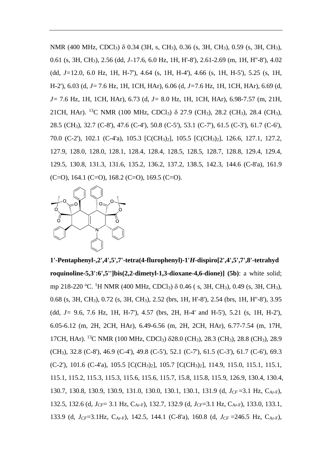NMR (400 MHz, CDCl<sub>3</sub>) δ 0.34 (3H, s, CH<sub>3</sub>), 0.36 (s, 3H, CH<sub>3</sub>), 0.59 (s, 3H, CH<sub>3</sub>), 0.61 (s, 3H, CH3), 2.56 (dd, *J=*17.6, 6.0 Hz, 1H, H'-8'), 2.61-2.69 (m, 1H, H''-8'), 4.02 (dd, *J=*12.0, 6.0 Hz, 1H, H-7'), 4.64 (s, 1H, H-4'), 4.66 (s, 1H, H-5'), 5.25 (s, 1H, H-2'), 6.03 (d, *J=*7.6 Hz, 1H, 1CH, HAr), 6.06 (d, *J=*7.6 Hz, 1H, 1CH, HAr), 6.69 (d, *J=* 7.6 Hz, 1H, 1CH, HAr), 6.73 (d, *J=* 8.0 Hz, 1H, 1CH, HAr), 6.98-7.57 (m, 21H, 21CH, HAr). <sup>13</sup>C NMR (100 MHz, CDCl<sub>3</sub>)  $\delta$  27.9 (CH<sub>3</sub>), 28.2 (CH<sub>3</sub>), 28.4 (CH<sub>3</sub>), 28.5 (CH3), 32.7 (C-8'), 47.6 (C-4'), 50.8 (C-5'), 53.1 (C-7'), 61.5 (C-3'), 61.7 (C-6'), 70.0 (C-2'), 102.1 (C-4'a), 105.3 [C(CH3)2], 105.5 [C(CH3)2], 126.6, 127.1, 127.2, 127.9, 128.0, 128.0, 128.1, 128.4, 128.4, 128.5, 128.5, 128.7, 128.8, 129.4, 129.4, 129.5, 130.8, 131.3, 131.6, 135.2, 136.2, 137.2, 138.5, 142.3, 144.6 (C-8'a), 161.9  $(C=0)$ , 164.1  $(C=0)$ , 168.2  $(C=0)$ , 169.5  $(C=0)$ .



**1'-Pentaphenyl-,2',4',5',7'-tetra(4-flurophenyl)-1'***H***-dispiro[2',4',5',7',8'-tetrahyd roquinoline-5,3':6',5'']bis(2,2-dimetyl-1,3-dioxane-4,6-dione)] (5b)**: a white solid; mp 218-220 °C. <sup>1</sup>H NMR (400 MHz, CDCl<sub>3</sub>) δ 0.46 (s, 3H, CH<sub>3</sub>), 0.49 (s, 3H, CH<sub>3</sub>), 0.68 (s, 3H, CH3), 0.72 (s, 3H, CH3), 2.52 (brs, 1H, H'-8'), 2.54 (brs, 1H, H''-8'), 3.95 (dd, *J=* 9.6, 7.6 Hz, 1H, H-7'), 4.57 (brs, 2H, H-4' and H-5'), 5.21 (s, 1H, H-2'), 6.05-6.12 (m, 2H, 2CH, HAr), 6.49-6.56 (m, 2H, 2CH, HAr), 6.77-7.54 (m, 17H, 17CH, HAr). <sup>13</sup>C NMR (100 MHz, CDCl3) 28.0 (CH3), 28.3 (CH3), 28.8 (CH3), 28.9 (CH3), 32.8 (C-8'), 46.9 (C-4'), 49.8 (C-5'), 52.1 (C-7'), 61.5 (C-3'), 61.7 (C-6'), 69.3 (C-2'), 101.6 (C-4'a), 105.5 [C(CH3)2], 105.7 [C(CH3)2], 114.9, 115.0, 115.1, 115.1, 115.1, 115.2, 115.3, 115.3, 115.6, 115.6, 115.7, 15.8, 115.8, 115.9, 126.9, 130.4, 130.4, 130.7, 130.8, 130.9, 130.9, 131.0, 130.0, 130.1, 130.1, 131.9 (d, *JCF* =3.1 Hz, CAr-F), 132.5, 132.6 (d, *JCF*= 3.1 Hz, CAr-F), 132.7, 132.9 (d, *JCF*=3.1 Hz, CAr-F), 133.0, 133.1, 133.9 (d, *JCF*=3.1Hz, CAr-F), 142.5, 144.1 (C-8'a), 160.8 (d, *JCF* =246.5 Hz, CAr-F),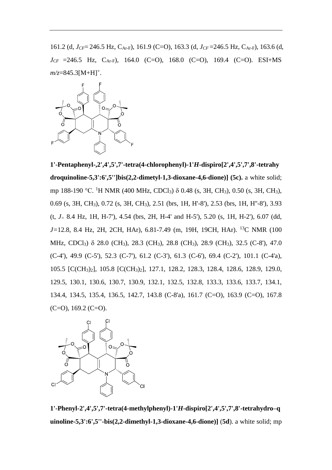161.2 (d, *JCF*= 246.5 Hz, CAr-F), 161.9 (C=O), 163.3 (d, *JCF* =246.5 Hz, CAr-F), 163.6 (d,  $J_{CF}$  =246.5 Hz, C<sub>Ar-F</sub>), 164.0 (C=O), 168.0 (C=O), 169.4 (C=O). ESI+MS *m/z*=845.3[M+H]<sup>+</sup>.



**1'-Pentaphenyl-,2',4',5',7'-tetra(4-chlorophenyl)-1'***H***-dispiro[2',4',5',7',8'-tetrahy droquinoline-5,3':6',5'']bis(2,2-dimetyl-1,3-dioxane-4,6-dione)] (5c).** a white solid; mp 188-190 °C. <sup>1</sup>H NMR (400 MHz, CDCl<sub>3</sub>) δ 0.48 (s, 3H, CH<sub>3</sub>), 0.50 (s, 3H, CH<sub>3</sub>), 0.69 (s, 3H, CH3), 0.72 (s, 3H, CH3), 2.51 (brs, 1H, H'-8'), 2.53 (brs, 1H, H''-8'), 3.93 (t, *J<sup>=</sup>* 8.4 Hz, 1H, H-7'), 4.54 (brs, 2H, H-4' and H-5'), 5.20 (s, 1H, H-2'), 6.07 (dd, *J=*12.8, 8.4 Hz, 2H, 2CH, HAr), 6.81-7.49 (m, 19H, 19CH, HAr). <sup>13</sup>C NMR (100 MHz, CDCl<sub>3</sub>) δ 28.0 (CH<sub>3</sub>), 28.3 (CH<sub>3</sub>), 28.8 (CH<sub>3</sub>), 28.9 (CH<sub>3</sub>), 32.5 (C-8'), 47.0 (C-4'), 49.9 (C-5'), 52.3 (C-7'), 61.2 (C-3'), 61.3 (C-6'), 69.4 (C-2'), 101.1 (C-4'a), 105.5 [C(CH3)2], 105.8 [C(CH3)2], 127.1, 128.2, 128.3, 128.4, 128.6, 128.9, 129.0, 129.5, 130.1, 130.6, 130.7, 130.9, 132.1, 132.5, 132.8, 133.3, 133.6, 133.7, 134.1, 134.4, 134.5, 135.4, 136.5, 142.7, 143.8 (C-8'a), 161.7 (C=O), 163.9 (C=O), 167.8  $(C=O)$ , 169.2  $(C=O)$ .



**1'-Phenyl-2',4',5',7'-tetra(4-methylphenyl)-1'***H***-dispiro[2',4',5',7',8'-tetrahydro–q uinoline-5,3':6',5''-bis(2,2-dimethyl-1,3-dioxane-4,6-dione)]** (**5d**). a white solid; mp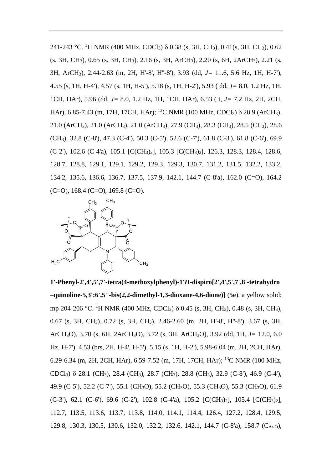241-243 °C. <sup>1</sup>H NMR (400 MHz, CDCl<sub>3</sub>) δ 0.38 (s, 3H, CH<sub>3</sub>), 0.41(s, 3H, CH<sub>3</sub>), 0.62 (s, 3H, CH3), 0.65 (s, 3H, CH3), 2.16 (s, 3H, ArCH3), 2.20 (s, 6H, 2ArCH3), 2.21 (s, 3H, ArCH3), 2.44-2.63 (m, 2H, H'-8', H''-8'), 3.93 (dd, *J=* 11.6, 5.6 Hz, 1H, H-7'), 4.55 (s, 1H, H-4'), 4.57 (s, 1H, H-5'), 5.18 (s, 1H, H-2'), 5.93 ( dd, *J=* 8.0, 1.2 Hz, 1H, 1CH, HAr), 5.96 (dd, *J=* 8.0, 1.2 Hz, 1H, 1CH, HAr), 6.53 ( t, *J=* 7.2 Hz, 2H, 2CH, HAr), 6.85-7.43 (m, 17H, 17CH, HAr); <sup>13</sup>C NMR (100 MHz, CDCl<sub>3</sub>)  $\delta$  20.9 (ArCH<sub>3</sub>), 21.0 (ArCH3), 21.0 (ArCH3), 21.0 (ArCH3), 27.9 (CH3), 28.3 (CH3), 28.5 (CH3), 28.6 (CH3), 32.8 (C-8'), 47.3 (C-4'), 50.3 (C-5'), 52.6 (C-7'), 61.8 (C-3'), 61.8 (C-6'), 69.9 (C-2'), 102.6 (C-4'a), 105.1 [C(CH3)2], 105.3 [C(CH3)2], 126.3, 128.3, 128.4, 128.6, 128.7, 128.8, 129.1, 129.1, 129.2, 129.3, 129.3, 130.7, 131.2, 131.5, 132.2, 133.2, 134.2, 135.6, 136.6, 136.7, 137.5, 137.9, 142.1, 144.7 (C-8'a), 162.0 (C=O), 164.2  $(C=0)$ , 168.4  $(C=0)$ , 169.8  $(C=0)$ .



**1'-Phenyl-2',4',5',7'-tetra(4-methoxylphenyl)-1'***H***-dispiro[2',4',5',7',8'-tetrahydro –quinoline-5,3':6',5''-bis(2,2-dimethyl-1,3-dioxane-4,6-dione)]** (**5e**). a yellow solid; mp 204-206 °C. <sup>1</sup>H NMR (400 MHz, CDCl<sub>3</sub>) δ 0.45 (s, 3H, CH<sub>3</sub>), 0.48 (s, 3H, CH<sub>3</sub>), 0.67 (s, 3H, CH3), 0.72 (s, 3H, CH3), 2.46-2.60 (m, 2H, H'-8', H''-8'), 3.67 (s, 3H, ArCH3O), 3.70 (s, 6H, 2ArCH3O), 3.72 (s, 3H, ArCH3O), 3.92 (dd, 1H, *J=* 12.0, 6.0 Hz, H-7'), 4.53 (brs, 2H, H-4', H-5'), 5.15 (s, 1H, H-2'), 5.98-6.04 (m, 2H, 2CH, HAr), 6.29-6.34 (m, 2H, 2CH, HAr), 6.59-7.52 (m, 17H, 17CH, HAr); <sup>13</sup>C NMR (100 MHz, CDCl3) 28.1 (CH3), 28.4 (CH3), 28.7 (CH3), 28.8 (CH3), 32.9 (C-8'), 46.9 (C-4'), 49.9 (C-5'), 52.2 (C-7'), 55.1 (CH3O), 55.2 (CH3O), 55.3 (CH3O), 55.3 (CH3O), 61.9  $(C-3')$ , 62.1  $(C-6')$ , 69.6  $(C-2')$ , 102.8  $(C-4'a)$ , 105.2  $[C(CH_3)_2]$ , 105.4  $[C(CH_3)_2]$ , 112.7, 113.5, 113.6, 113.7, 113.8, 114.0, 114.1, 114.4, 126.4, 127.2, 128.4, 129.5, 129.8, 130.3, 130.5, 130.6, 132.0, 132.2, 132.6, 142.1, 144.7 (C-8'a), 158.7 (CAr-O),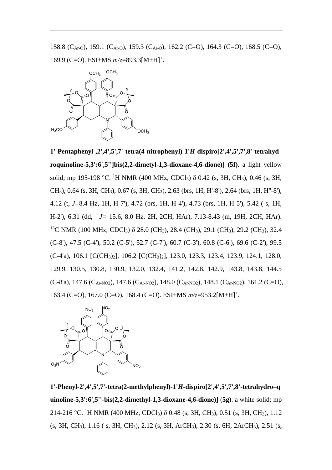158.8 (CAr-O), 159.1 (CAr-O), 159.3 (CAr-O), 162.2 (C=O), 164.3 (C=O), 168.5 (C=O), 169.9 (C=O). ESI+MS *m/z*=893.3[M+H]<sup>+</sup> .



**1'-Pentaphenyl-,2',4',5',7'-tetra(4-nitrophenyl)-1'***H***-dispiro[2',4',5',7',8'-tetrahyd roquinoline-5,3':6',5'']bis(2,2-dimetyl-1,3-dioxane-4,6-dione)] (5f).** a light yellow solid; mp 195-198 °C. <sup>1</sup>H NMR (400 MHz, CDCl<sub>3</sub>) δ 0.42 (s, 3H, CH<sub>3</sub>), 0.46 (s, 3H, CH3), 0.64 (s, 3H, CH3), 0.67 (s, 3H, CH3), 2.63 (brs, 1H, H'-8'), 2.64 (brs, 1H, H''-8'), 4.12 (t, *J=* 8.4 Hz, 1H, H-7'), 4.72 (brs, 1H, H-4'), 4.73 (brs, 1H, H-5'), 5.42 ( s, 1H, H-2'), 6.31 (dd, *J=* 15.6, 8.0 Hz, 2H, 2CH, HAr), 7.13-8.43 (m, 19H, 2CH, HAr). <sup>13</sup>C NMR (100 MHz, CDCl<sub>3</sub>)  $\delta$  28.0 (CH<sub>3</sub>), 28.4 (CH<sub>3</sub>), 29.1 (CH<sub>3</sub>), 29.2 (CH<sub>3</sub>), 32.4 (C-8'), 47.5 (C-4'), 50.2 (C-5'), 52.7 (C-7'), 60.7 (C-3'), 60.8 (C-6'), 69.6 (C-2'), 99.5 (C-4'a), 106.1 [C(CH3)2], 106.2 [C(CH3)2], 123.0, 123.3, 123.4, 123.9, 124.1, 128.0, 129.9, 130.5, 130.8, 130.9, 132.0, 132.4, 141.2, 142.8, 142.9, 143.8, 143.8, 144.5  $(C-8'a)$ , 147.6  $(C_{Ar-NO2})$ , 147.6  $(C_{Ar-NO2})$ , 148.0  $(C_{Ar-NO2})$ , 148.1  $(C_{Ar-NO2})$ , 161.2  $(C=O)$ , 163.4 (C=O), 167.0 (C=O), 168.4 (C=O). ESI+MS *m/z*=953.2[M+H]<sup>+</sup> .



**1'-Phenyl-2',4',5',7'-tetra(2-methylphenyl)-1'***H***-dispiro[2',4',5',7',8'-tetrahydro–q uinoline-5,3':6',5''-bis(2,2-dimethyl-1,3-dioxane-4,6-dione)]** (**5g**). a white solid; mp 214-216 °C. <sup>1</sup>H NMR (400 MHz, CDCl<sub>3</sub>) δ 0.48 (s, 3H, CH<sub>3</sub>), 0.51 (s, 3H, CH<sub>3</sub>), 1.12 (s, 3H, CH3), 1.16 ( s, 3H, CH3), 2.12 (s, 3H, ArCH3), 2.30 (s, 6H, 2ArCH3), 2.51 (s,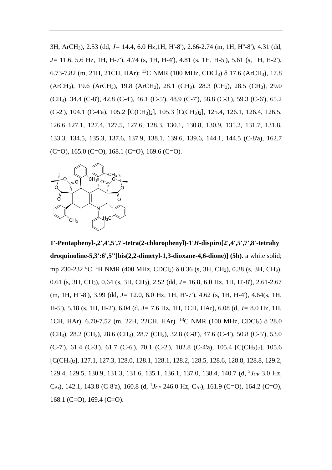3H, ArCH3), 2.53 (dd, *J=* 14.4, 6.0 Hz,1H, H'-8'), 2.66-2.74 (m, 1H, H''-8'), 4.31 (dd, *J=* 11.6, 5.6 Hz, 1H, H-7'), 4.74 (s, 1H, H-4'), 4.81 (s, 1H, H-5'), 5.61 (s, 1H, H-2'), 6.73-7.82 (m, 21H, 21CH, HAr); <sup>13</sup>C NMR (100 MHz, CDCl<sub>3</sub>)  $\delta$  17.6 (ArCH<sub>3</sub>), 17.8 (ArCH3), 19.6 (ArCH3), 19.8 (ArCH3), 28.1 (CH3), 28.3 (CH3), 28.5 (CH3), 29.0 (CH3), 34.4 (C-8'), 42.8 (C-4'), 46.1 (C-5'), 48.9 (C-7'), 58.8 (C-3'), 59.3 (C-6'), 65.2 (C-2'), 104.1 (C-4'a), 105.2 [C(CH3)2], 105.3 [C(CH3)2], 125.4, 126.1, 126.4, 126.5, 126.6 127.1, 127.4, 127.5, 127.6, 128.3, 130.1, 130.8, 130.9, 131.2, 131.7, 131.8, 133.3, 134.5, 135.3, 137.6, 137.9, 138.1, 139.6, 139.6, 144.1, 144.5 (C-8'a), 162.7  $(C=O)$ , 165.0  $(C=O)$ , 168.1  $(C=O)$ , 169.6  $(C=O)$ .



**1'-Pentaphenyl-,2',4',5',7'-tetra(2-chlorophenyl)-1'***H***-dispiro[2',4',5',7',8'-tetrahy droquinoline-5,3':6',5'']bis(2,2-dimetyl-1,3-dioxane-4,6-dione)] (5h).** a white solid; mp 230-232 °C. <sup>1</sup>H NMR (400 MHz, CDCl<sub>3</sub>) δ 0.36 (s, 3H, CH<sub>3</sub>), 0.38 (s, 3H, CH<sub>3</sub>), 0.61 (s, 3H, CH3), 0.64 (s, 3H, CH3), 2.52 (dd, *J=* 16.8, 6.0 Hz, 1H, H'-8'), 2.61-2.67 (m, 1H, H''-8'), 3.99 (dd, *J=* 12.0, 6.0 Hz, 1H, H'-7'), 4.62 (s, 1H, H-4'), 4.64(s, 1H, H-5'), 5.18 (s, 1H, H-2'), 6.04 (d, *J=* 7.6 Hz, 1H, 1CH, HAr), 6.08 (d, *J=* 8.0 Hz, 1H, 1CH, HAr), 6.70-7.52 (m, 22H, 22CH, HAr). <sup>13</sup>C NMR (100 MHz, CDCl<sub>3</sub>)  $\delta$  28.0 (CH3), 28.2 (CH3), 28.6 (CH3), 28.7 (CH3), 32.8 (C-8'), 47.6 (C-4'), 50.8 (C-5'), 53.0  $(C-7')$ , 61.4  $(C-3')$ , 61.7  $(C-6')$ , 70.1  $(C-2')$ , 102.8  $(C-4'a)$ , 105.4  $[C(CH_3)_2]$ , 105.6 [C(CH3)2], 127.1, 127.3, 128.0, 128.1, 128.1, 128.2, 128.5, 128.6, 128.8, 128.8, 129.2, 129.4, 129.5, 130.9, 131.3, 131.6, 135.1, 136.1, 137.0, 138.4, 140.7 (d, <sup>2</sup> *JCF* 3.0 Hz, C<sub>Ar</sub>), 142.1, 143.8 (C-8'a), 160.8 (d, <sup>1</sup>J<sub>CF</sub> 246.0 Hz, C<sub>Ar</sub>), 161.9 (C=O), 164.2 (C=O), 168.1 (C=O), 169.4 (C=O).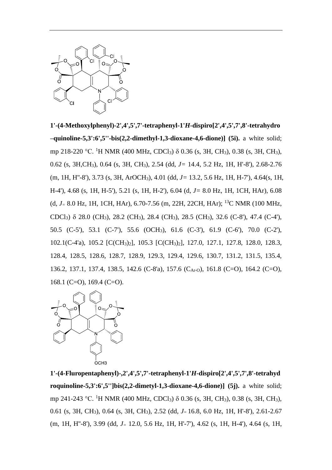

**1'-(4-Methoxylphenyl)-2',4',5',7'-tetraphenyl-1'***H***-dispiro[2',4',5',7',8'-tetrahydro –quinoline-5,3':6',5''-bis(2,2-dimethyl-1,3-dioxane-4,6-dione)] (5i).** a white solid; mp 218-220 °C. <sup>1</sup>H NMR (400 MHz, CDCl<sub>3</sub>) δ 0.36 (s, 3H, CH<sub>3</sub>), 0.38 (s, 3H, CH<sub>3</sub>), 0.62 (s, 3H,CH3), 0.64 (s, 3H, CH3), 2.54 (dd, *J=* 14.4, 5.2 Hz, 1H, H'-8'), 2.68-2.76 (m, 1H, H''-8'), 3.73 (s, 3H, ArOCH3), 4.01 (dd, *J=* 13.2, 5.6 Hz, 1H, H-7'), 4.64(s, 1H, H-4'), 4.68 (s, 1H, H-5'), 5.21 (s, 1H, H-2'), 6.04 (d, *J=* 8.0 Hz, 1H, 1CH, HAr), 6.08 (d, *J<sup>=</sup>* 8.0 Hz, 1H, 1CH, HAr), 6.70-7.56 (m, 22H, 22CH, HAr); <sup>13</sup>C NMR (100 MHz, CDCl3) 28.0 (CH3), 28.2 (CH3), 28.4 (CH3), 28.5 (CH3), 32.6 (C-8'), 47.4 (C-4'), 50.5 (C-5'), 53.1 (C-7'), 55.6 (OCH3), 61.6 (C-3'), 61.9 (C-6'), 70.0 (C-2'), 102.1(C-4'a), 105.2 [C(CH3)2], 105.3 [C(CH3)2], 127.0, 127.1, 127.8, 128.0, 128.3, 128.4, 128.5, 128.6, 128.7, 128.9, 129.3, 129.4, 129.6, 130.7, 131.2, 131.5, 135.4, 136.2, 137.1, 137.4, 138.5, 142.6 (C-8'a), 157.6 (C<sub>Ar-O</sub>), 161.8 (C=O), 164.2 (C=O), 168.1 (C=O), 169.4 (C=O).



**1'-(4-Fluropentaphenyl)-,2',4',5',7'-tetraphenyl-1'***H***-dispiro[2',4',5',7',8'-tetrahyd roquinoline-5,3':6',5'']bis(2,2-dimetyl-1,3-dioxane-4,6-dione)] (5j).** a white solid; mp 241-243 °C. <sup>1</sup>H NMR (400 MHz, CDCl<sub>3</sub>) δ 0.36 (s, 3H, CH<sub>3</sub>), 0.38 (s, 3H, CH<sub>3</sub>), 0.61 (s, 3H, CH3), 0.64 (s, 3H, CH3), 2.52 (dd, *J=* 16.8, 6.0 Hz, 1H, H'-8'), 2.61-2.67 (m, 1H, H''-8'), 3.99 (dd, *J<sup>=</sup>* 12.0, 5.6 Hz, 1H, H'-7'), 4.62 (s, 1H, H-4'), 4.64 (s, 1H,